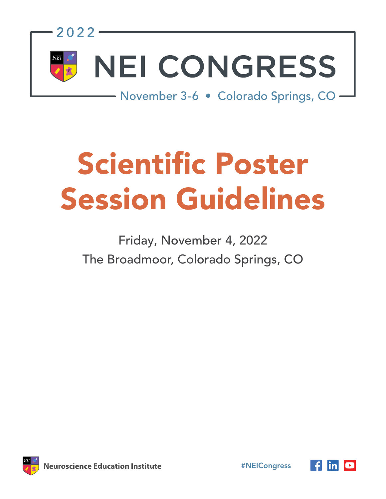

# Scientific Poster Session Guidelines

# Friday, November 4, 2022 The Broadmoor, Colorado Springs, CO



#NEICongress

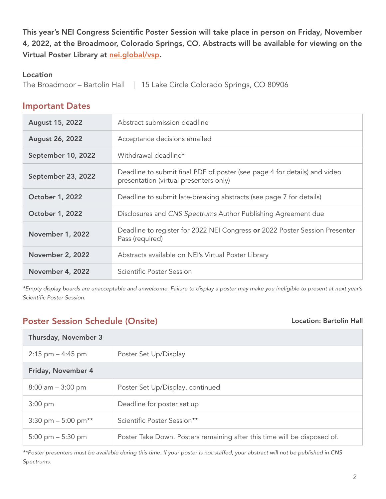This year's NEI Congress Scientific Poster Session will take place in person on Friday, November 4, 2022, at the Broadmoor, Colorado Springs, CO. Abstracts will be available for viewing on the Virtual Poster Library at [nei.global/vsp.](http://nei.global/vsp)

#### Location

The Broadmoor – Bartolin Hall | 15 Lake Circle Colorado Springs, CO 80906

#### Important Dates

| <b>August 15, 2022</b>  | Abstract submission deadline                                                                                        |
|-------------------------|---------------------------------------------------------------------------------------------------------------------|
| <b>August 26, 2022</b>  | Acceptance decisions emailed                                                                                        |
| September 10, 2022      | Withdrawal deadline*                                                                                                |
| September 23, 2022      | Deadline to submit final PDF of poster (see page 4 for details) and video<br>presentation (virtual presenters only) |
| <b>October 1, 2022</b>  | Deadline to submit late-breaking abstracts (see page 7 for details)                                                 |
| <b>October 1, 2022</b>  | Disclosures and CNS Spectrums Author Publishing Agreement due                                                       |
| <b>November 1, 2022</b> | Deadline to register for 2022 NEI Congress or 2022 Poster Session Presenter<br>Pass (required)                      |
| <b>November 2, 2022</b> | Abstracts available on NEI's Virtual Poster Library                                                                 |
| <b>November 4, 2022</b> | Scientific Poster Session                                                                                           |

*\*Empty display boards are unacceptable and unwelcome. Failure to display a poster may make you ineligible to present at next year's Scientific Poster Session.* 

# Poster Session Schedule (Onsite) and the Constant Constant Constantine Exercise Art Location: Bartolin Hall

| Thursday, November 3                     |                                                                          |
|------------------------------------------|--------------------------------------------------------------------------|
| $2:15$ pm $-4:45$ pm                     | Poster Set Up/Display                                                    |
| Friday, November 4                       |                                                                          |
| $8:00$ am $-3:00$ pm                     | Poster Set Up/Display, continued                                         |
| $3:00$ pm                                | Deadline for poster set up                                               |
| $3:30 \text{ pm} - 5:00 \text{ pm}^{**}$ | Scientific Poster Session**                                              |
| $5:00 \text{ pm} - 5:30 \text{ pm}$      | Poster Take Down. Posters remaining after this time will be disposed of. |

*\*\*Poster presenters must be available during this time. If your poster is not staffed, your abstract will not be published in CNS Spectrums.*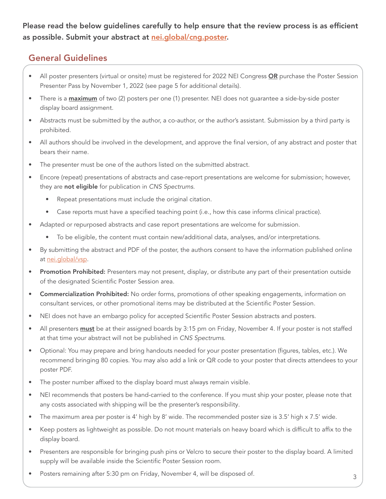Please read the below guidelines carefully to help ensure that the review process is as efficient as possible. Submit your abstract at [nei.global/cng.poster.](http://nei.global/cng.poster)

# General Guidelines

- All poster presenters (virtual or onsite) must be registered for 2022 NEI Congress OR purchase the Poster Session Presenter Pass by November 1, 2022 (see page 5 for additional details).
- There is a **maximum** of two (2) posters per one (1) presenter. NEI does not guarantee a side-by-side poster display board assignment.
- Abstracts must be submitted by the author, a co-author, or the author's assistant. Submission by a third party is prohibited.
- All authors should be involved in the development, and approve the final version, of any abstract and poster that bears their name.
- The presenter must be one of the authors listed on the submitted abstract.
- Encore (repeat) presentations of abstracts and case-report presentations are welcome for submission; however, they are not eligible for publication in *CNS Spectrums*.
	- Repeat presentations must include the original citation.
	- Case reports must have a specified teaching point (i.e., how this case informs clinical practice).
- Adapted or repurposed abstracts and case report presentations are welcome for submission.
	- To be eligible, the content must contain new/additional data, analyses, and/or interpretations.
- By submitting the abstract and PDF of the poster, the authors consent to have the information published online at [nei.global/vsp.](http://nei.global/vsp)
- Promotion Prohibited: Presenters may not present, display, or distribute any part of their presentation outside of the designated Scientific Poster Session area.
- Commercialization Prohibited: No order forms, promotions of other speaking engagements, information on consultant services, or other promotional items may be distributed at the Scientific Poster Session.
- NEI does not have an embargo policy for accepted Scientific Poster Session abstracts and posters.
- All presenters **must** be at their assigned boards by 3:15 pm on Friday, November 4. If your poster is not staffed at that time your abstract will not be published in *CNS Spectrums*.
- Optional: You may prepare and bring handouts needed for your poster presentation (figures, tables, etc.). We recommend bringing 80 copies. You may also add a link or QR code to your poster that directs attendees to your poster PDF.
- The poster number affixed to the display board must always remain visible.
- NEI recommends that posters be hand-carried to the conference. If you must ship your poster, please note that any costs associated with shipping will be the presenter's responsibility.
- The maximum area per poster is 4' high by 8' wide. The recommended poster size is 3.5' high x 7.5' wide.
- Keep posters as lightweight as possible. Do not mount materials on heavy board which is difficult to affix to the display board.
- Presenters are responsible for bringing push pins or Velcro to secure their poster to the display board. A limited supply will be available inside the Scientific Poster Session room.
- Posters remaining after 5:30 pm on Friday, November 4, will be disposed of.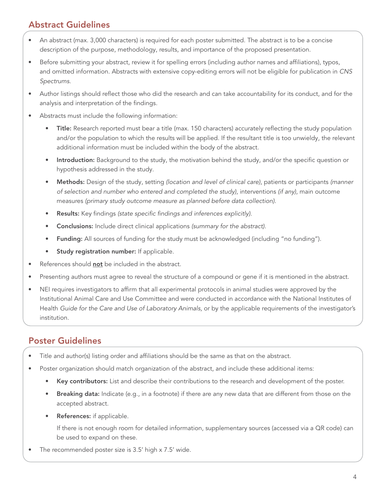# Abstract Guidelines

- An abstract (max. 3,000 characters) is required for each poster submitted. The abstract is to be a concise description of the purpose, methodology, results, and importance of the proposed presentation.
- Before submitting your abstract, review it for spelling errors (including author names and affiliations), typos, and omitted information. Abstracts with extensive copy-editing errors will not be eligible for publication in *CNS Spectrums*.
- Author listings should reflect those who did the research and can take accountability for its conduct, and for the analysis and interpretation of the findings.
- Abstracts must include the following information:
	- Title: Research reported must bear a title (max. 150 characters) accurately reflecting the study population and/or the population to which the results will be applied. If the resultant title is too unwieldy, the relevant additional information must be included within the body of the abstract.
	- Introduction: Background to the study, the motivation behind the study, and/or the specific question or hypothesis addressed in the study.
	- Methods: Design of the study, setting *(location and level of clinical care)*, patients or participants *(manner of selection and number who entered and completed the study)*, interventions *(if any)*, main outcome measures *(primary study outcome measure as planned before data collection)*.
	- Results: Key findings *(state specific findings and inferences explicitly)*.
	- Conclusions: Include direct clinical applications *(summary for the abstract)*.
	- Funding: All sources of funding for the study must be acknowledged (including "no funding").
	- Study registration number: If applicable.
- References should not be included in the abstract.
- Presenting authors must agree to reveal the structure of a compound or gene if it is mentioned in the abstract.
- NEI requires investigators to affirm that all experimental protocols in animal studies were approved by the Institutional Animal Care and Use Committee and were conducted in accordance with the National Institutes of Health *Guide for the Care and Use of Laboratory Animals*, or by the applicable requirements of the investigator's institution.

# Poster Guidelines

- Title and author(s) listing order and affiliations should be the same as that on the abstract.
- Poster organization should match organization of the abstract, and include these additional items:
	- Key contributors: List and describe their contributions to the research and development of the poster.
	- Breaking data: Indicate (e.g., in a footnote) if there are any new data that are different from those on the accepted abstract.
	- References: if applicable.

If there is not enough room for detailed information, supplementary sources (accessed via a QR code) can be used to expand on these.

The recommended poster size is 3.5' high x 7.5' wide.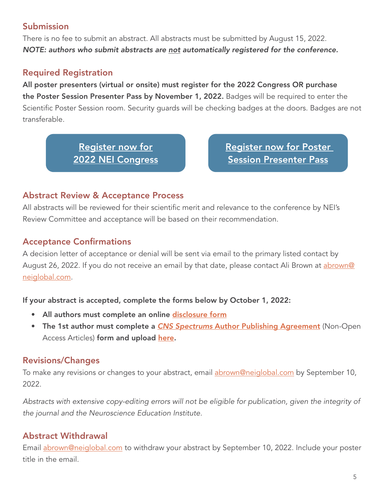# Submission

There is no fee to submit an abstract. All abstracts must be submitted by August 15, 2022. *NOTE: authors who submit abstracts are not automatically registered for the conference.*

# Required Registration

All poster presenters (virtual or onsite) must register for the 2022 Congress OR purchase the Poster Session Presenter Pass by November 1, 2022. Badges will be required to enter the Scientific Poster Session room. Security guards will be checking badges at the doors. Badges are not transferable.

> Register now for [2022 NEI Congress](https://www.neiglobal.com/Congress/CNGRegDetails/tabid/154/Default.aspx)

[Register now for Poster](https://www.neiglobal.com/General/InvProductDetails/tabid/104/action/INVProductDetails/args/3297/Default.aspx)  Session Presenter Pass

# Abstract Review & Acceptance Process

All abstracts will be reviewed for their scientific merit and relevance to the conference by NEI's Review Committee and acceptance will be based on their recommendation.

# Acceptance Confirmations

A decision letter of acceptance or denial will be sent via email to the primary listed contact by August 26, 2022. If you do not receive an email by that date, please contact Ali Brown at [abrown@](mailto:abrown%40neiglobal.com?subject=) [neiglobal.com](mailto:abrown%40neiglobal.com?subject=).

#### If your abstract is accepted, complete the forms below by October 1, 2022:

- All authors must complete an online [disclosure form](https://forms.gle/6M5DTYffWXXc8e47A)
- The 1st author must complete a *CNS Spectrums* [Author Publishing Agreement](https://neiglobal.sharepoint.com/:f:/g/EhHHaOUZXqpEh3NPyaNXXlkBH-hrlcjzRQQO9kh551eceg?e=ICd9rG ) (Non-Open Access Articles) form and upload [here](https://neiglobal-my.sharepoint.com/:f:/p/abrown/ErGClcbBfqREj7YmDCA9QzEBcRtsLFFE-DAk1cEIfvhxUg).

#### Revisions/Changes

To make any revisions or changes to your abstract, email [abrown@neiglobal.com](mailto:abrown%40neiglobal.com?subject=) by September 10, 2022.

*Abstracts with extensive copy-editing errors will not be eligible for publication, given the integrity of the journal and the Neuroscience Education Institute.*

# Abstract Withdrawal

Email [abrown@neiglobal.com](mailto:abrown%40neiglobal.com?subject=) to withdraw your abstract by September 10, 2022. Include your poster title in the email.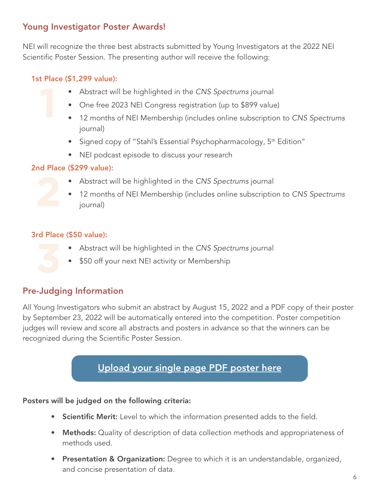# Young Investigator Poster Awards!

NEI will recognize the three best abstracts submitted by Young Investigators at the 2022 NEI Scientific Poster Session. The presenting author will receive the following:

#### 1st Place (\$1,299 value):

- Abstract will be highlighted in the *CNS Spectrums* journal
- One free 2023 NEI Congress registration (up to \$899 value)
- 12 months of NEI Membership (includes online subscription to *CNS Spectrums* journal)
- Signed copy of "Stahl's Essential Psychopharmacology, 5<sup>th</sup> Edition"
- NEI podcast episode to discuss your research

#### 2nd Place (\$299 value):

- Abstract will be highlighted in the *CNS Spectrums* journal
- 12 months of NEI Membership (includes online subscription to *CNS Spectrums* journal)

#### 3rd Place (\$50 value):

- Abstract will be highlighted in the *CNS Spectrums* journal
- \$50 off your next NEI activity or Membership

# Pre-Judging Information

All Young Investigators who submit an abstract by August 15, 2022 and a PDF copy of their poster by September 23, 2022 will be automatically entered into the competition. Poster competition judges will review and score all abstracts and posters in advance so that the winners can be recognized during the Scientific Poster Session.

# [Upload your single page PDF poster here](https://neiglobal-my.sharepoint.com/:f:/p/abrown/ErGClcbBfqREj7YmDCA9QzEBcRtsLFFE-DAk1cEIfvhxUg)

#### Posters will be judged on the following criteria:

- Scientific Merit: Level to which the information presented adds to the field.
- Methods: Quality of description of data collection methods and appropriateness of methods used.
- Presentation & Organization: Degree to which it is an understandable, organized, and concise presentation of data.